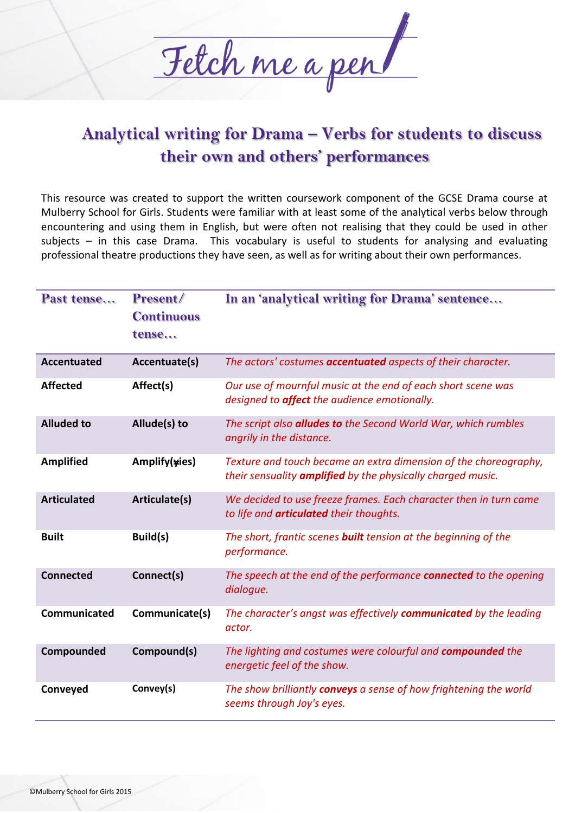

## **Analytical writing for Drama – Verbs for students to discuss their own and others' performances**

This resource was created to support the written coursework component of the GCSE Drama course at Mulberry School for Girls. Students were familiar with at least some of the analytical verbs below through encountering and using them in English, but were often not realising that they could be used in other subjects – in this case Drama. This vocabulary is useful to students for analysing and evaluating professional theatre productions they have seen, as well as for writing about their own performances.

| Past tense         | Present/<br><b>Continuous</b><br>tense | In an 'analytical writing for Drama' sentence                                                                                          |
|--------------------|----------------------------------------|----------------------------------------------------------------------------------------------------------------------------------------|
| <b>Accentuated</b> | Accentuate(s)                          | The actors' costumes <b>accentuated</b> aspects of their character.                                                                    |
| <b>Affected</b>    | Affect(s)                              | Our use of mournful music at the end of each short scene was<br>designed to <b>affect</b> the audience emotionally.                    |
| <b>Alluded to</b>  | Allude(s) to                           | The script also <b>alludes to</b> the Second World War, which rumbles<br>angrily in the distance.                                      |
| <b>Amplified</b>   | Amplify(yies)                          | Texture and touch became an extra dimension of the choreography,<br>their sensuality <b>amplified</b> by the physically charged music. |
| <b>Articulated</b> | Articulate(s)                          | We decided to use freeze frames. Each character then in turn came<br>to life and <b>articulated</b> their thoughts.                    |
| <b>Built</b>       | Build(s)                               | The short, frantic scenes <b>built</b> tension at the beginning of the<br>performance.                                                 |
| <b>Connected</b>   | Connect(s)                             | The speech at the end of the performance <b>connected</b> to the opening<br>dialoque.                                                  |
| Communicated       | Communicate(s)                         | The character's angst was effectively communicated by the leading<br>actor.                                                            |
| Compounded         | Compound(s)                            | The lighting and costumes were colourful and compounded the<br>energetic feel of the show.                                             |
| Conveyed           | Convey(s)                              | The show brilliantly conveys a sense of how frightening the world<br>seems through Joy's eyes.                                         |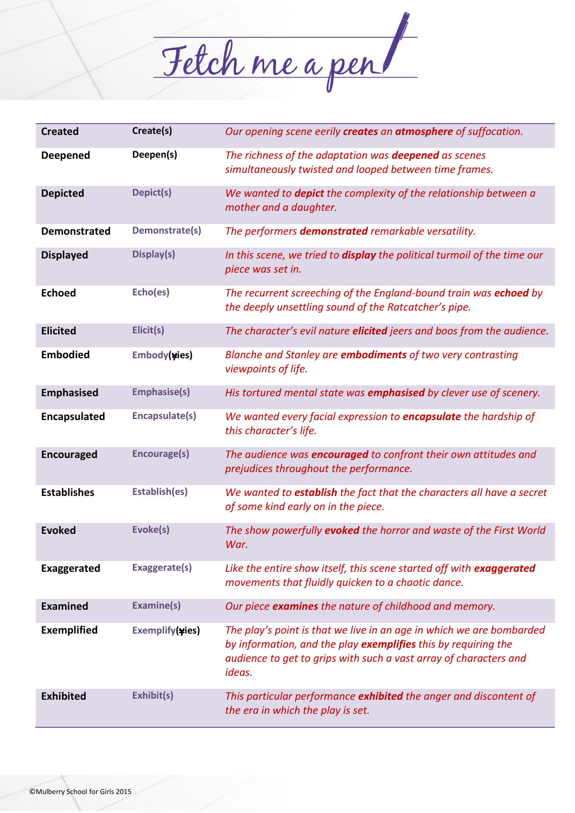

| <b>Created</b>      | Create(s)           | Our opening scene eerily creates an atmosphere of suffocation.                                                                                                                                                        |
|---------------------|---------------------|-----------------------------------------------------------------------------------------------------------------------------------------------------------------------------------------------------------------------|
| <b>Deepened</b>     | Deepen(s)           | The richness of the adaptation was <b>deepened</b> as scenes<br>simultaneously twisted and looped between time frames.                                                                                                |
| <b>Depicted</b>     | Depict(s)           | We wanted to <b>depict</b> the complexity of the relationship between a<br>mother and a daughter.                                                                                                                     |
| <b>Demonstrated</b> | Demonstrate(s)      | The performers demonstrated remarkable versatility.                                                                                                                                                                   |
| <b>Displayed</b>    | Display(s)          | In this scene, we tried to <b>display</b> the political turmoil of the time our<br>piece was set in.                                                                                                                  |
| <b>Echoed</b>       | Echo(es)            | The recurrent screeching of the England-bound train was echoed by<br>the deeply unsettling sound of the Ratcatcher's pipe.                                                                                            |
| <b>Elicited</b>     | Elicit(s)           | The character's evil nature elicited jeers and boos from the audience.                                                                                                                                                |
| <b>Embodied</b>     | Embody(yies)        | Blanche and Stanley are <b>embodiments</b> of two very contrasting<br>viewpoints of life.                                                                                                                             |
| <b>Emphasised</b>   | <b>Emphasise(s)</b> | His tortured mental state was <b>emphasised</b> by clever use of scenery.                                                                                                                                             |
| Encapsulated        | Encapsulate(s)      | We wanted every facial expression to encapsulate the hardship of<br>this character's life.                                                                                                                            |
| <b>Encouraged</b>   | Encourage(s)        | The audience was <b>encouraged</b> to confront their own attitudes and<br>prejudices throughout the performance.                                                                                                      |
| <b>Establishes</b>  | Establish(es)       | We wanted to establish the fact that the characters all have a secret<br>of some kind early on in the piece.                                                                                                          |
| <b>Evoked</b>       | Evoke(s)            | The show powerfully evoked the horror and waste of the First World<br>War.                                                                                                                                            |
| <b>Exaggerated</b>  | Exaggerate(s)       | Like the entire show itself, this scene started off with <b>exaggerated</b><br>movements that fluidly quicken to a chaotic dance.                                                                                     |
| <b>Examined</b>     | Examine(s)          | Our piece examines the nature of childhood and memory.                                                                                                                                                                |
| <b>Exemplified</b>  | Exemplify(yies)     | The play's point is that we live in an age in which we are bombarded<br>by information, and the play exemplifies this by requiring the<br>audience to get to grips with such a vast array of characters and<br>ideas. |
| <b>Exhibited</b>    | Exhibit(s)          | This particular performance exhibited the anger and discontent of<br>the era in which the play is set.                                                                                                                |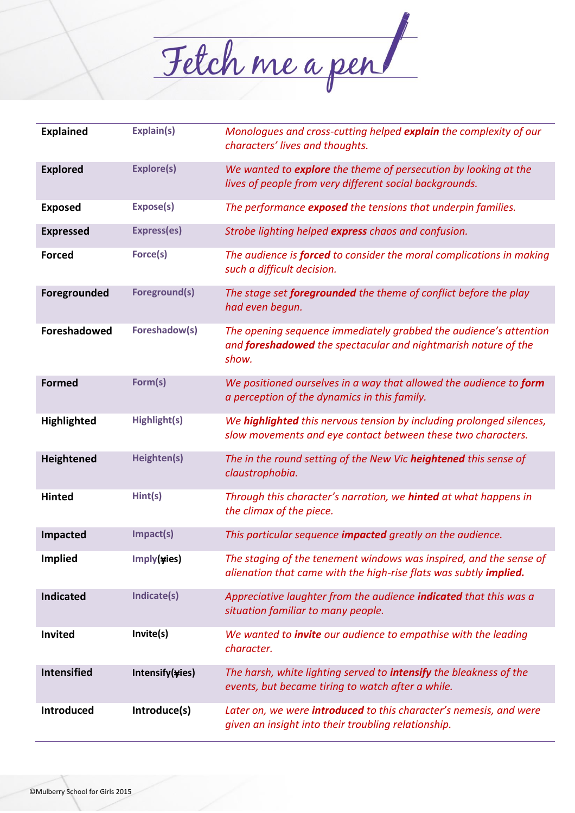

| <b>Explained</b>   | Explain(s)         | Monologues and cross-cutting helped explain the complexity of our<br>characters' lives and thoughts.                                                |
|--------------------|--------------------|-----------------------------------------------------------------------------------------------------------------------------------------------------|
| <b>Explored</b>    | <b>Explore(s)</b>  | We wanted to explore the theme of persecution by looking at the<br>lives of people from very different social backgrounds.                          |
| <b>Exposed</b>     | Expose(s)          | The performance exposed the tensions that underpin families.                                                                                        |
| <b>Expressed</b>   | <b>Express(es)</b> | Strobe lighting helped express chaos and confusion.                                                                                                 |
| <b>Forced</b>      | Force(s)           | The audience is <b>forced</b> to consider the moral complications in making<br>such a difficult decision.                                           |
| Foregrounded       | Foreground(s)      | The stage set <b>foregrounded</b> the theme of conflict before the play<br>had even begun.                                                          |
| Foreshadowed       | Foreshadow(s)      | The opening sequence immediately grabbed the audience's attention<br>and <b>foreshadowed</b> the spectacular and nightmarish nature of the<br>show. |
| <b>Formed</b>      | Form(s)            | We positioned ourselves in a way that allowed the audience to form<br>a perception of the dynamics in this family.                                  |
| Highlighted        | Highlight(s)       | We highlighted this nervous tension by including prolonged silences,<br>slow movements and eye contact between these two characters.                |
| Heightened         | Heighten(s)        | The in the round setting of the New Vic heightened this sense of<br>claustrophobia.                                                                 |
| <b>Hinted</b>      | Hint(s)            | Through this character's narration, we <b>hinted</b> at what happens in<br>the climax of the piece.                                                 |
| <b>Impacted</b>    | Impact(s)          | This particular sequence <b>impacted</b> greatly on the audience.                                                                                   |
| <b>Implied</b>     | Imply(yies)        | The staging of the tenement windows was inspired, and the sense of<br>alienation that came with the high-rise flats was subtly <i>implied</i> .     |
| <b>Indicated</b>   | Indicate(s)        | Appreciative laughter from the audience indicated that this was a<br>situation familiar to many people.                                             |
| Invited            | Invite(s)          | We wanted to <i>invite</i> our audience to empathise with the leading<br>character.                                                                 |
| <b>Intensified</b> | Intensify(yies)    | The harsh, white lighting served to <i>intensify</i> the bleakness of the<br>events, but became tiring to watch after a while.                      |
| <b>Introduced</b>  | Introduce(s)       | Later on, we were <b>introduced</b> to this character's nemesis, and were<br>given an insight into their troubling relationship.                    |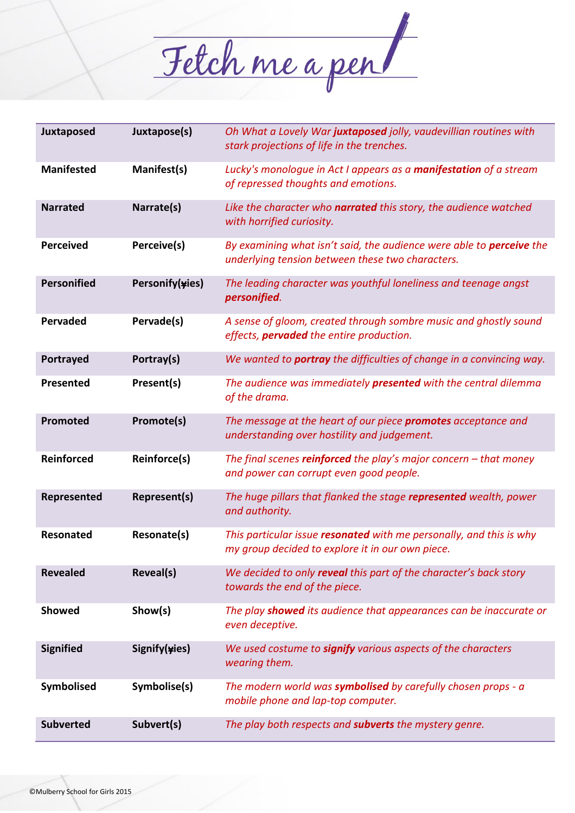

| Juxtaposed         | Juxtapose(s)        | Oh What a Lovely War juxtaposed jolly, vaudevillian routines with<br>stark projections of life in the trenches.                 |
|--------------------|---------------------|---------------------------------------------------------------------------------------------------------------------------------|
| <b>Manifested</b>  | Manifest(s)         | Lucky's monologue in Act I appears as a manifestation of a stream<br>of repressed thoughts and emotions.                        |
| <b>Narrated</b>    | Narrate(s)          | Like the character who narrated this story, the audience watched<br>with horrified curiosity.                                   |
| <b>Perceived</b>   | Perceive(s)         | By examining what isn't said, the audience were able to <b>perceive</b> the<br>underlying tension between these two characters. |
| <b>Personified</b> | Personify(yies)     | The leading character was youthful loneliness and teenage angst<br>personified.                                                 |
| <b>Pervaded</b>    | Pervade(s)          | A sense of gloom, created through sombre music and ghostly sound<br>effects, <b>pervaded</b> the entire production.             |
| Portrayed          | Portray(s)          | We wanted to <b>portray</b> the difficulties of change in a convincing way.                                                     |
| Presented          | Present(s)          | The audience was immediately <b>presented</b> with the central dilemma<br>of the drama.                                         |
| Promoted           | Promote(s)          | The message at the heart of our piece <b>promotes</b> acceptance and<br>understanding over hostility and judgement.             |
| <b>Reinforced</b>  | <b>Reinforce(s)</b> | The final scenes reinforced the play's major concern $-$ that money<br>and power can corrupt even good people.                  |
| Represented        | Represent(s)        | The huge pillars that flanked the stage represented wealth, power<br>and authority.                                             |
| <b>Resonated</b>   | Resonate(s)         | This particular issue resonated with me personally, and this is why<br>my group decided to explore it in our own piece.         |
| <b>Revealed</b>    | Reveal(s)           | We decided to only reveal this part of the character's back story<br>towards the end of the piece.                              |
| <b>Showed</b>      | Show(s)             | The play showed its audience that appearances can be inaccurate or<br>even deceptive.                                           |
| <b>Signified</b>   | Signify(yies)       | We used costume to signify various aspects of the characters<br>wearing them.                                                   |
| Symbolised         | Symbolise(s)        | The modern world was <b>symbolised</b> by carefully chosen props - a<br>mobile phone and lap-top computer.                      |
| <b>Subverted</b>   | Subvert(s)          | The play both respects and <b>subverts</b> the mystery genre.                                                                   |